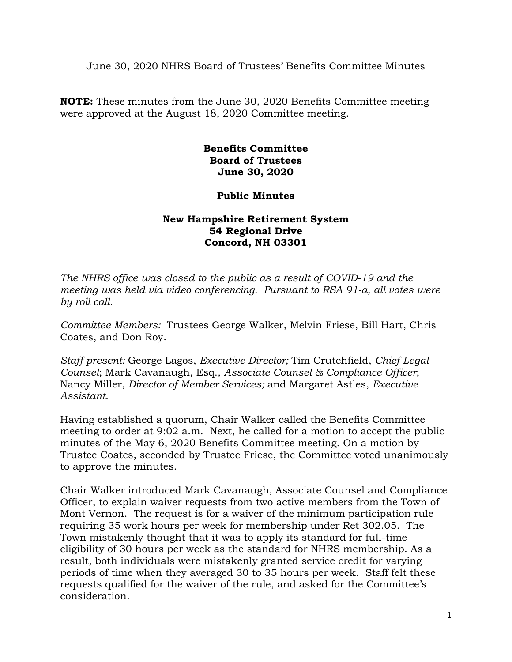June 30, 2020 NHRS Board of Trustees' Benefits Committee Minutes

**NOTE:** These minutes from the June 30, 2020 Benefits Committee meeting were approved at the August 18, 2020 Committee meeting.

## **Benefits Committee Board of Trustees June 30, 2020**

## **Public Minutes**

## **New Hampshire Retirement System 54 Regional Drive Concord, NH 03301**

*The NHRS office was closed to the public as a result of COVID-19 and the meeting was held via video conferencing. Pursuant to RSA 91-a, all votes were by roll call.*

*Committee Members:* Trustees George Walker, Melvin Friese, Bill Hart, Chris Coates, and Don Roy.

*Staff present:* George Lagos, *Executive Director;* Tim Crutchfield, *Chief Legal Counsel*; Mark Cavanaugh, Esq., *Associate Counsel & Compliance Officer*; Nancy Miller, *Director of Member Services;* and Margaret Astles, *Executive Assistant.* 

Having established a quorum, Chair Walker called the Benefits Committee meeting to order at 9:02 a.m. Next, he called for a motion to accept the public minutes of the May 6, 2020 Benefits Committee meeting. On a motion by Trustee Coates, seconded by Trustee Friese, the Committee voted unanimously to approve the minutes.

Chair Walker introduced Mark Cavanaugh, Associate Counsel and Compliance Officer, to explain waiver requests from two active members from the Town of Mont Vernon. The request is for a waiver of the minimum participation rule requiring 35 work hours per week for membership under Ret 302.05. The Town mistakenly thought that it was to apply its standard for full-time eligibility of 30 hours per week as the standard for NHRS membership. As a result, both individuals were mistakenly granted service credit for varying periods of time when they averaged 30 to 35 hours per week. Staff felt these requests qualified for the waiver of the rule, and asked for the Committee's consideration.